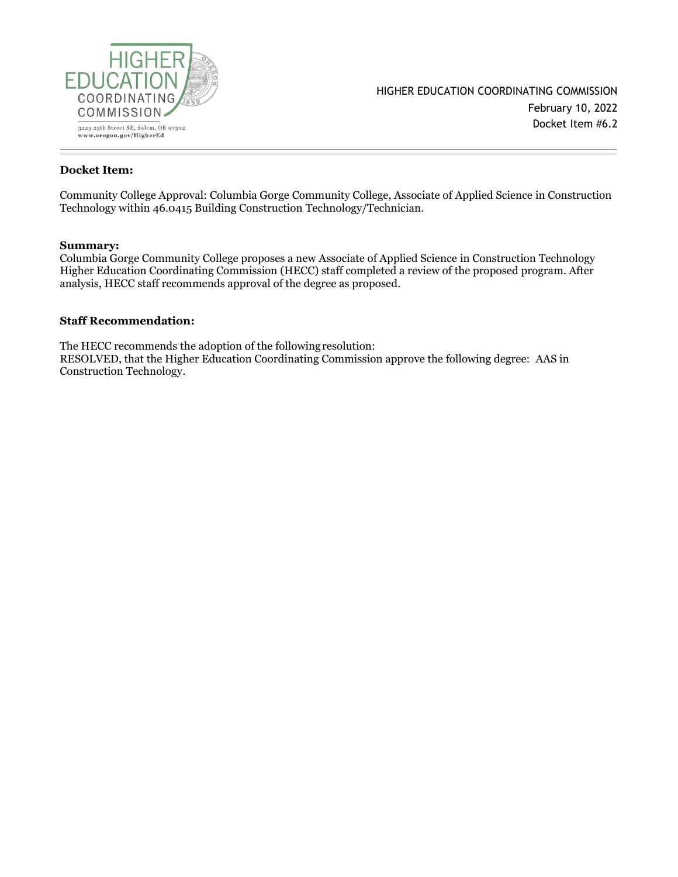

#### **Docket Item:**

Community College Approval: Columbia Gorge Community College, Associate of Applied Science in Construction Technology within 46.0415 Building Construction Technology/Technician.

#### **Summary:**

Columbia Gorge Community College proposes a new Associate of Applied Science in Construction Technology Higher Education Coordinating Commission (HECC) staff completed a review of the proposed program. After analysis, HECC staff recommends approval of the degree as proposed.

#### **Staff Recommendation:**

The HECC recommends the adoption of the following resolution: RESOLVED, that the Higher Education Coordinating Commission approve the following degree: AAS in Construction Technology.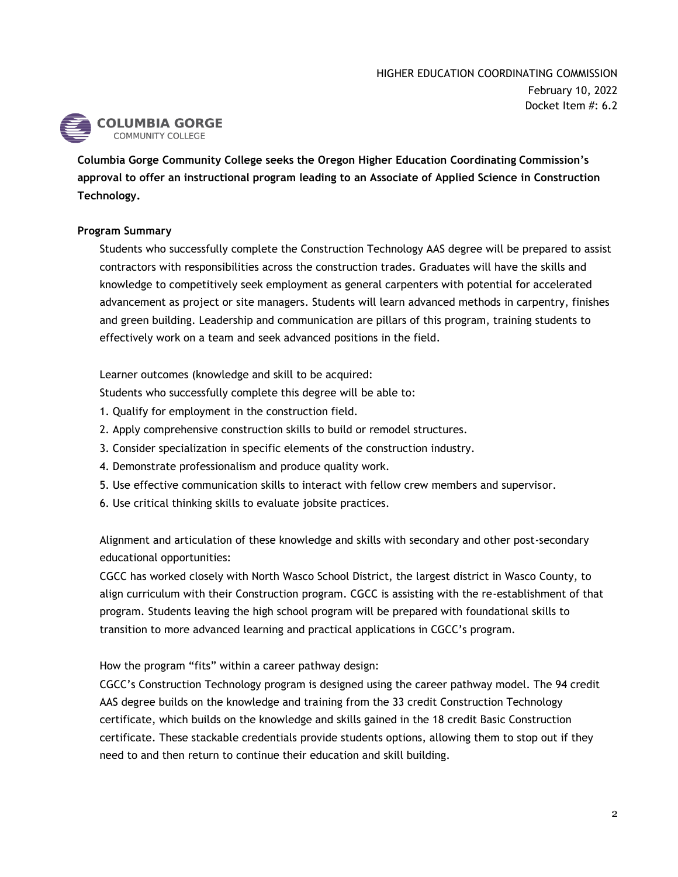

**Columbia Gorge Community College seeks the Oregon Higher Education Coordinating Commission's approval to offer an instructional program leading to an Associate of Applied Science in Construction Technology.**

## **Program Summary**

Students who successfully complete the Construction Technology AAS degree will be prepared to assist contractors with responsibilities across the construction trades. Graduates will have the skills and knowledge to competitively seek employment as general carpenters with potential for accelerated advancement as project or site managers. Students will learn advanced methods in carpentry, finishes and green building. Leadership and communication are pillars of this program, training students to effectively work on a team and seek advanced positions in the field.

Learner outcomes (knowledge and skill to be acquired:

Students who successfully complete this degree will be able to:

- 1. Qualify for employment in the construction field.
- 2. Apply comprehensive construction skills to build or remodel structures.
- 3. Consider specialization in specific elements of the construction industry.
- 4. Demonstrate professionalism and produce quality work.
- 5. Use effective communication skills to interact with fellow crew members and supervisor.
- 6. Use critical thinking skills to evaluate jobsite practices.

Alignment and articulation of these knowledge and skills with secondary and other post-secondary educational opportunities:

CGCC has worked closely with North Wasco School District, the largest district in Wasco County, to align curriculum with their Construction program. CGCC is assisting with the re-establishment of that program. Students leaving the high school program will be prepared with foundational skills to transition to more advanced learning and practical applications in CGCC's program.

How the program "fits" within a career pathway design:

CGCC's Construction Technology program is designed using the career pathway model. The 94 credit AAS degree builds on the knowledge and training from the 33 credit Construction Technology certificate, which builds on the knowledge and skills gained in the 18 credit Basic Construction certificate. These stackable credentials provide students options, allowing them to stop out if they need to and then return to continue their education and skill building.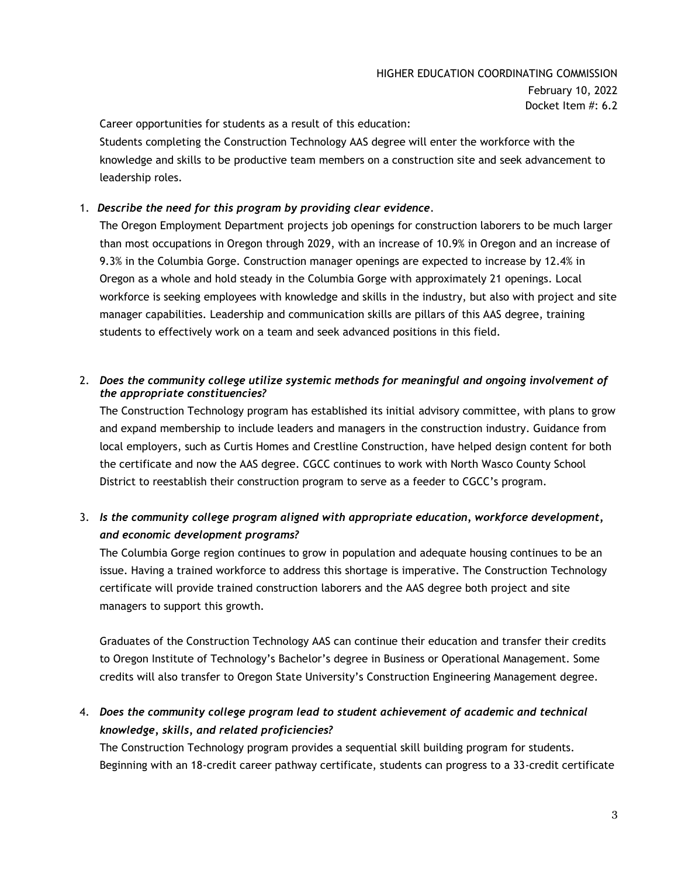Career opportunities for students as a result of this education:

Students completing the Construction Technology AAS degree will enter the workforce with the knowledge and skills to be productive team members on a construction site and seek advancement to leadership roles.

### 1. *Describe the need for this program by providing clear evidence.*

The Oregon Employment Department projects job openings for construction laborers to be much larger than most occupations in Oregon through 2029, with an increase of 10.9% in Oregon and an increase of 9.3% in the Columbia Gorge. Construction manager openings are expected to increase by 12.4% in Oregon as a whole and hold steady in the Columbia Gorge with approximately 21 openings. Local workforce is seeking employees with knowledge and skills in the industry, but also with project and site manager capabilities. Leadership and communication skills are pillars of this AAS degree, training students to effectively work on a team and seek advanced positions in this field.

### 2. *Does the community college utilize systemic methods for meaningful and ongoing involvement of the appropriate constituencies?*

The Construction Technology program has established its initial advisory committee, with plans to grow and expand membership to include leaders and managers in the construction industry. Guidance from local employers, such as Curtis Homes and Crestline Construction, have helped design content for both the certificate and now the AAS degree. CGCC continues to work with North Wasco County School District to reestablish their construction program to serve as a feeder to CGCC's program.

## 3. *Is the community college program aligned with appropriate education, workforce development, and economic development programs?*

The Columbia Gorge region continues to grow in population and adequate housing continues to be an issue. Having a trained workforce to address this shortage is imperative. The Construction Technology certificate will provide trained construction laborers and the AAS degree both project and site managers to support this growth.

Graduates of the Construction Technology AAS can continue their education and transfer their credits to Oregon Institute of Technology's Bachelor's degree in Business or Operational Management. Some credits will also transfer to Oregon State University's Construction Engineering Management degree.

## 4. *Does the community college program lead to student achievement of academic and technical knowledge, skills, and related proficiencies?*

The Construction Technology program provides a sequential skill building program for students. Beginning with an 18-credit career pathway certificate, students can progress to a 33-credit certificate